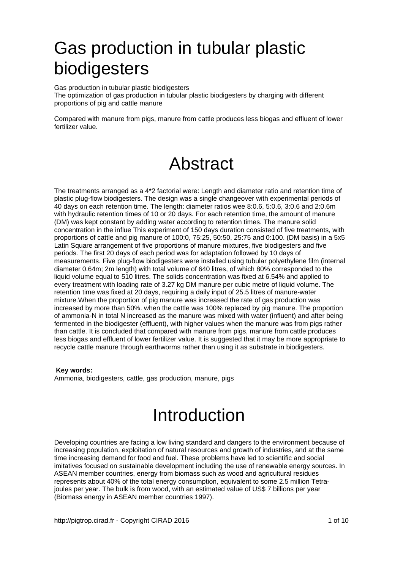# Gas production in tubular plastic biodigesters

Gas production in tubular plastic biodigesters The optimization of gas production in tubular plastic biodigesters by charging with different proportions of pig and cattle manure

Compared with manure from pigs, manure from cattle produces less biogas and effluent of lower fertilizer value.

## Abstract

The treatments arranged as a 4\*2 factorial were: Length and diameter ratio and retention time of plastic plug-flow biodigesters. The design was a single changeover with experimental periods of 40 days on each retention time. The length: diameter ratios wee 8:0.6, 5:0.6, 3:0.6 and 2:0.6m with hydraulic retention times of 10 or 20 days. For each retention time, the amount of manure (DM) was kept constant by adding water according to retention times. The manure solid concentration in the influe This experiment of 150 days duration consisted of five treatments, with proportions of cattle and pig manure of 100:0, 75:25, 50:50, 25:75 and 0:100. (DM basis) in a 5x5 Latin Square arrangement of five proportions of manure mixtures, five biodigesters and five periods. The first 20 days of each period was for adaptation followed by 10 days of measurements. Five plug-flow biodigesters were installed using tubular polyethylene film (internal diameter 0.64m; 2m length) with total volume of 640 litres, of which 80% corresponded to the liquid volume equal to 510 litres. The solids concentration was fixed at 6.54% and applied to every treatment with loading rate of 3.27 kg DM manure per cubic metre of liquid volume. The retention time was fixed at 20 days, requiring a daily input of 25.5 litres of manure-water mixture.When the proportion of pig manure was increased the rate of gas production was increased by more than 50%. when the cattle was 100% replaced by pig manure. The proportion of ammonia-N in total N increased as the manure was mixed with water (influent) and after being fermented in the biodigester (effluent), with higher values when the manure was from pigs rather than cattle. It is concluded that compared with manure from pigs, manure from cattle produces less biogas and effluent of lower fertilizer value. It is suggested that it may be more appropriate to recycle cattle manure through earthworms rather than using it as substrate in biodigesters.

 **Key words:**  Ammonia, biodigesters, cattle, gas production, manure, pigs

# Introduction

Developing countries are facing a low living standard and dangers to the environment because of increasing population, exploitation of natural resources and growth of industries, and at the same time increasing demand for food and fuel. These problems have led to scientific and social imitatives focused on sustainable development including the use of renewable energy sources. In ASEAN member countries, energy from biomass such as wood and agricultural residues represents about 40% of the total energy consumption, equivalent to some 2.5 million Tetrajoules per year. The bulk is from wood, with an estimated value of US\$ 7 billions per year (Biomass energy in ASEAN member countries 1997).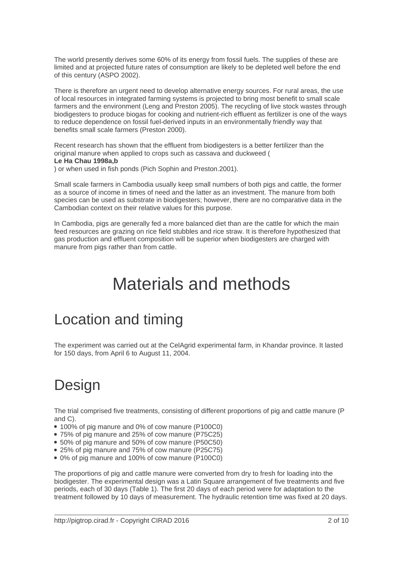The world presently derives some 60% of its energy from fossil fuels. The supplies of these are limited and at projected future rates of consumption are likely to be depleted well before the end of this century (ASPO 2002).

There is therefore an urgent need to develop alternative energy sources. For rural areas, the use of local resources in integrated farming systems is projected to bring most benefit to small scale farmers and the environment (Leng and Preston 2005). The recycling of live stock wastes through biodigesters to produce biogas for cooking and nutrient-rich effluent as fertilizer is one of the ways to reduce dependence on fossil fuel-derived inputs in an environmentally friendly way that benefits small scale farmers (Preston 2000).

Recent research has shown that the effluent from biodigesters is a better fertilizer than the original manure when applied to crops such as cassava and duckweed ( **Le Ha Chau 1998a,b**

) or when used in fish ponds (Pich Sophin and Preston.2001).

Small scale farmers in Cambodia usually keep small numbers of both pigs and cattle, the former as a source of income in times of need and the latter as an investment. The manure from both species can be used as substrate in biodigesters; however, there are no comparative data in the Cambodian context on their relative values for this purpose.

In Cambodia, pigs are generally fed a more balanced diet than are the cattle for which the main feed resources are grazing on rice field stubbles and rice straw. It is therefore hypothesized that gas production and effluent composition will be superior when biodigesters are charged with manure from pigs rather than from cattle.

## Materials and methods

### Location and timing

The experiment was carried out at the CelAgrid experimental farm, in Khandar province. It lasted for 150 days, from April 6 to August 11, 2004.

### **Design**

The trial comprised five treatments, consisting of different proportions of pig and cattle manure (P and C).

- 100% of pig manure and 0% of cow manure (P100C0)
- 75% of pig manure and 25% of cow manure (P75C25)
- 50% of pig manure and 50% of cow manure (P50C50)
- 25% of pig manure and 75% of cow manure (P25C75)
- 0% of pig manure and 100% of cow manure (P100C0)

The proportions of pig and cattle manure were converted from dry to fresh for loading into the biodigester. The experimental design was a Latin Square arrangement of five treatments and five periods, each of 30 days (Table 1). The first 20 days of each period were for adaptation to the treatment followed by 10 days of measurement. The hydraulic retention time was fixed at 20 days.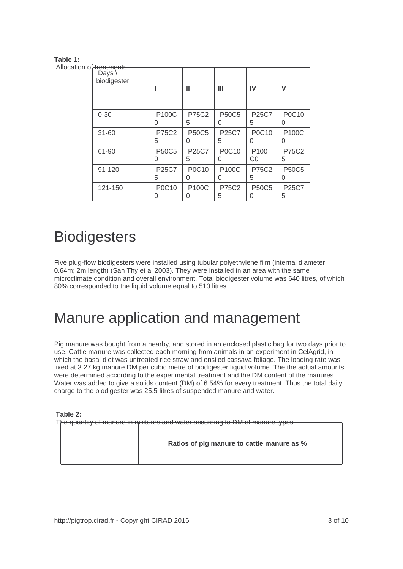#### **Table 1:**

| Allocation of treatments | Days $\setminus$<br>biodigester |                   | Ш                 | Ш                 | IV                               | v                 |
|--------------------------|---------------------------------|-------------------|-------------------|-------------------|----------------------------------|-------------------|
|                          | $0 - 30$                        | <b>P100C</b><br>0 | <b>P75C2</b><br>5 | <b>P50C5</b><br>0 | <b>P25C7</b><br>5                | P0C10<br>0        |
|                          | $31 - 60$                       | P75C2<br>5        | <b>P50C5</b><br>0 | P25C7<br>5        | <b>P0C10</b><br>0                | <b>P100C</b><br>0 |
|                          | 61-90                           | <b>P50C5</b><br>0 | P25C7<br>5        | P0C10<br>0        | P <sub>100</sub><br>CO           | <b>P75C2</b><br>5 |
|                          | 91-120                          | <b>P25C7</b><br>5 | P0C10<br>0        | P100C<br>0        | <b>P75C2</b><br>5                | <b>P50C5</b><br>0 |
|                          | 121-150                         | P0C10<br>0        | P100C<br>0        | <b>P75C2</b><br>5 | <b>P50C5</b><br>$\left( \right)$ | P25C7<br>5        |

### **Biodigesters**

Five plug-flow biodigesters were installed using tubular polyethylene film (internal diameter 0.64m; 2m length) (San Thy et al 2003). They were installed in an area with the same microclimate condition and overall environment. Total biodigester volume was 640 litres, of which 80% corresponded to the liquid volume equal to 510 litres.

### Manure application and management

Pig manure was bought from a nearby, and stored in an enclosed plastic bag for two days prior to use. Cattle manure was collected each morning from animals in an experiment in CelAgrid, in which the basal diet was untreated rice straw and ensiled cassava foliage. The loading rate was fixed at 3.27 kg manure DM per cubic metre of biodigester liquid volume. The the actual amounts were determined according to the experimental treatment and the DM content of the manures. Water was added to give a solids content (DM) of 6.54% for every treatment. Thus the total daily charge to the biodigester was 25.5 litres of suspended manure and water.

 **Table 2:**

The quantity of manure in mixtures and water according to DM of manure types

 **Ratios of pig manure to cattle manure as %**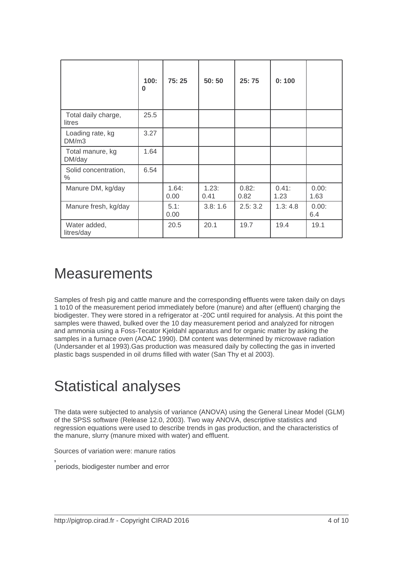|                               | 100:<br>0 | 75:25         | 50:50         | 25:75         | 0:100         |               |
|-------------------------------|-----------|---------------|---------------|---------------|---------------|---------------|
| Total daily charge,<br>litres | 25.5      |               |               |               |               |               |
| Loading rate, kg<br>DM/m3     | 3.27      |               |               |               |               |               |
| Total manure, kg<br>DM/day    | 1.64      |               |               |               |               |               |
| Solid concentration,<br>$\%$  | 6.54      |               |               |               |               |               |
| Manure DM, kg/day             |           | 1.64:<br>0.00 | 1.23:<br>0.41 | 0.82:<br>0.82 | 0.41:<br>1.23 | 0.00:<br>1.63 |
| Manure fresh, kg/day          |           | 5.1:<br>0.00  | 3.8:1.6       | 2.5:3.2       | 1.3:4.8       | 0.00:<br>6.4  |
| Water added,<br>litres/day    |           | 20.5          | 20.1          | 19.7          | 19.4          | 19.1          |

#### **Measurements**

Samples of fresh pig and cattle manure and the corresponding effluents were taken daily on days 1 to10 of the measurement period immediately before (manure) and after (effluent) charging the biodigester. They were stored in a refrigerator at -20C until required for analysis. At this point the samples were thawed, bulked over the 10 day measurement period and analyzed for nitrogen and ammonia using a Foss-Tecator Kjeldahl apparatus and for organic matter by asking the samples in a furnace oven (AOAC 1990). DM content was determined by microwave radiation (Undersander et al 1993).Gas production was measured daily by collecting the gas in inverted plastic bags suspended in oil drums filled with water (San Thy et al 2003).

### Statistical analyses

The data were subjected to analysis of variance (ANOVA) using the General Linear Model (GLM) of the SPSS software (Release 12.0, 2003). Two way ANOVA, descriptive statistics and regression equations were used to describe trends in gas production, and the characteristics of the manure, slurry (manure mixed with water) and effluent.

Sources of variation were: manure ratios

**,**  periods, biodigester number and error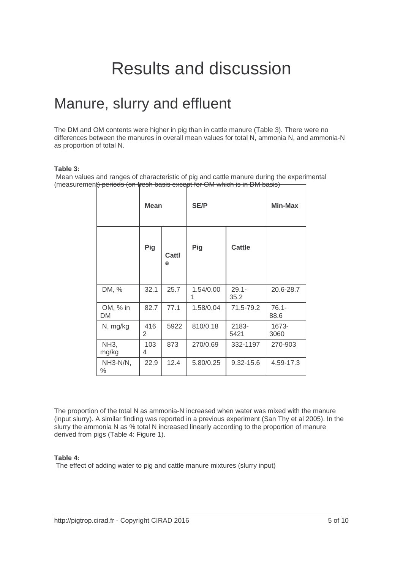# Results and discussion

#### Manure, slurry and effluent

The DM and OM contents were higher in pig than in cattle manure (Table 3). There were no differences between the manures in overall mean values for total N, ammonia N, and ammonia-N as proportion of total N.

#### **Table 3:**

 Mean values and ranges of characteristic of pig and cattle manure during the experimental (measurement) periods (on fresh basis except for OM which is in DM basis)

|                      | <b>Mean</b> |            | <b>SE/P</b>    | Min-Max          |                  |
|----------------------|-------------|------------|----------------|------------------|------------------|
|                      | Pig         | Cattl<br>e | Pig            | <b>Cattle</b>    |                  |
| DM, %                | 32.1        | 25.7       | 1.54/0.00<br>1 | $29.1 -$<br>35.2 | 20.6-28.7        |
| OM, % in<br>DM       | 82.7        | 77.1       | 1.58/0.04      | 71.5-79.2        | $76.1 -$<br>88.6 |
| N, mg/kg             | 416<br>2    | 5922       | 810/0.18       | 2183-<br>5421    | 1673-<br>3060    |
| <b>NH3,</b><br>mg/kg | 103<br>4    | 873        | 270/0.69       | 332-1197         | 270-903          |
| NH3-N/N,<br>$\%$     | 22.9        | 12.4       | 5.80/0.25      | $9.32 - 15.6$    | 4.59-17.3        |

The proportion of the total N as ammonia-N increased when water was mixed with the manure (input slurry). A similar finding was reported in a previous experiment (San Thy et al 2005). In the slurry the ammonia N as % total N increased linearly according to the proportion of manure derived from pigs (Table 4: Figure 1).

#### **Table 4:**

The effect of adding water to pig and cattle manure mixtures (slurry input)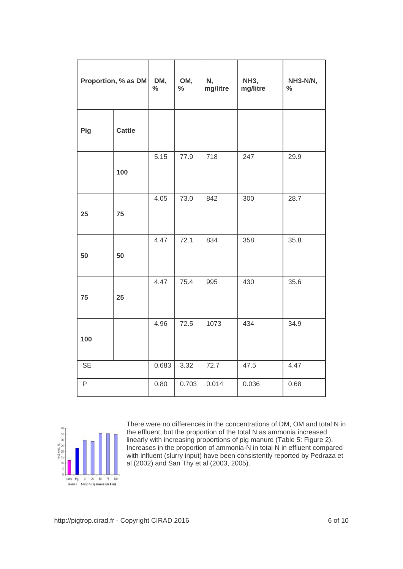| Proportion, % as DM |               | DM,<br>$\%$ | OM,<br>$\%$ | N,<br>mg/litre | <b>NH3,</b><br>mg/litre | NH3-N/N,<br>$\%$ |
|---------------------|---------------|-------------|-------------|----------------|-------------------------|------------------|
| Pig                 | <b>Cattle</b> |             |             |                |                         |                  |
|                     | 100           | 5.15        | 77.9        | 718            | 247                     | 29.9             |
| 25                  | 75            | 4.05        | 73.0        | 842            | 300                     | 28.7             |
| 50                  | 50            | 4.47        | 72.1        | 834            | 358                     | 35.8             |
| 75                  | 25            | 4.47        | 75.4        | 995            | 430                     | 35.6             |
| 100                 |               | 4.96        | 72.5        | 1073           | 434                     | 34.9             |
| <b>SE</b>           |               | 0.683       | 3.32        | 72.7           | 47.5                    | 4.47             |
| $\mathsf P$         |               | 0.80        | 0.703       | 0.014          | 0.036                   | 0.68             |



There were no differences in the concentrations of DM, OM and total N in the effluent, but the proportion of the total N as ammonia increased linearly with increasing proportions of pig manure (Table 5: Figure 2). Increases in the proportion of ammonia-N in total N in effluent compared with influent (slurry input) have been consistently reported by Pedraza et al (2002) and San Thy et al (2003, 2005).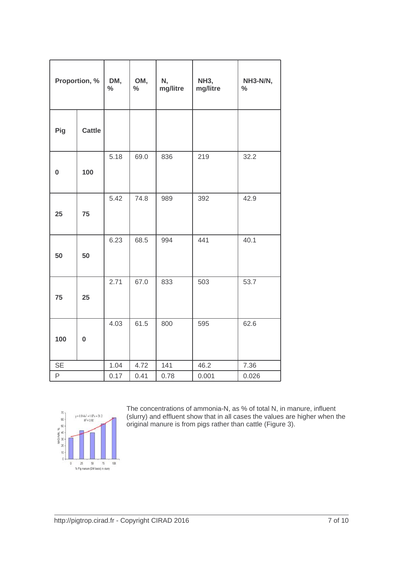| Proportion, % |               | DM,<br>$\%$ | OM,<br>$\%$ | N,<br>mg/litre | <b>NH3,</b><br>mg/litre | NH3-N/N,<br>$\%$ |
|---------------|---------------|-------------|-------------|----------------|-------------------------|------------------|
| Pig           | <b>Cattle</b> |             |             |                |                         |                  |
| $\bf{0}$      | 100           | 5.18        | 69.0        | 836            | 219                     | 32.2             |
| 25            | 75            | 5.42        | 74.8        | 989            | 392                     | 42.9             |
| 50            | 50            | 6.23        | 68.5        | 994            | 441                     | 40.1             |
| 75            | 25            | 2.71        | 67.0        | 833            | 503                     | 53.7             |
| 100           | $\bf{0}$      | 4.03        | 61.5        | 800            | 595                     | 62.6             |
| <b>SE</b>     |               | 1.04        | 4.72        | 141            | 46.2                    | 7.36             |
| P             |               | 0.17        | 0.41        | 0.78           | 0.001                   | 0.026            |



The concentrations of ammonia-N, as % of total N, in manure, influent (slurry) and effluent show that in all cases the values are higher when the original manure is from pigs rather than cattle (Figure 3).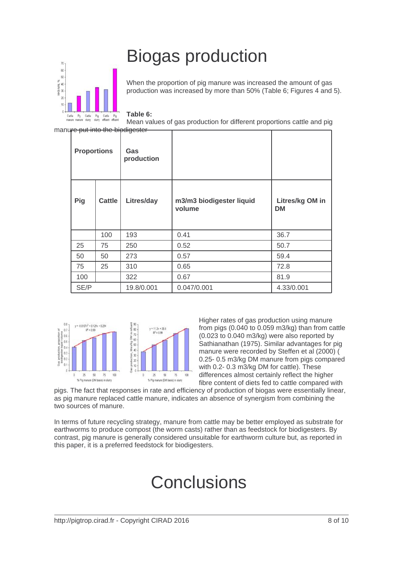# Biogas production



manure put into the biodigester

When the proportion of pig manure was increased the amount of gas production was increased by more than 50% (Table 6; Figures 4 and 5).

**Table 6:** 

Mean values of gas production for different proportions cattle and pig

| <b>Proportions</b>   |           | Gas<br>production |                                    |                              |  |
|----------------------|-----------|-------------------|------------------------------------|------------------------------|--|
| Pig<br><b>Cattle</b> |           | Litres/day        | m3/m3 biodigester liquid<br>volume | Litres/kg OM in<br><b>DM</b> |  |
|                      | 100       | 193               | 0.41                               | 36.7                         |  |
| 25                   | 75        | 250               | 0.52                               | 50.7                         |  |
| 50                   | 50<br>273 |                   | 0.57                               | 59.4                         |  |
| 75                   | 25<br>310 |                   | 0.65                               | 72.8                         |  |
| 100                  | 322       |                   | 0.67                               | 81.9                         |  |
| SE/P                 |           | 19.8/0.001        | 0.047/0.001                        | 4.33/0.001                   |  |



Higher rates of gas production using manure from pigs (0.040 to 0.059 m3/kg) than from cattle (0.023 to 0.040 m3/kg) were also reported by Sathianathan (1975). Similar advantages for pig manure were recorded by Steffen et al (2000) ( 0.25- 0.5 m3/kg DM manure from pigs compared with 0.2- 0.3 m3/kg DM for cattle). These differences almost certainly reflect the higher fibre content of diets fed to cattle compared with

pigs. The fact that responses in rate and efficiency of production of biogas were essentially linear, as pig manure replaced cattle manure, indicates an absence of synergism from combining the two sources of manure.

In terms of future recycling strategy, manure from cattle may be better employed as substrate for earthworms to produce compost (the worm casts) rather than as feedstock for biodigesters. By contrast, pig manure is generally considered unsuitable for earthworm culture but, as reported in this paper, it is a preferred feedstock for biodigesters.

# **Conclusions**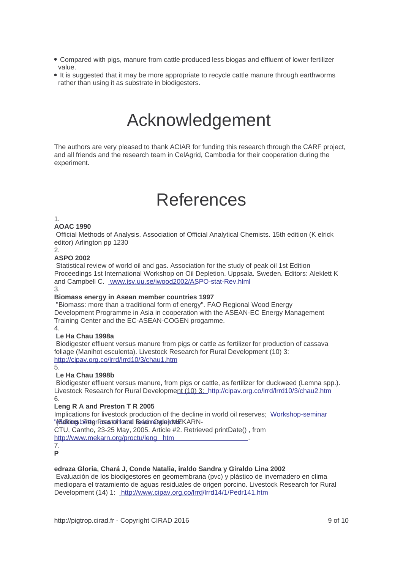- Compared with pigs, manure from cattle produced less biogas and effluent of lower fertilizer value.
- It is suggested that it may be more appropriate to recycle cattle manure through earthworms rather than using it as substrate in biodigesters.

# Acknowledgement

The authors are very pleased to thank ACIAR for funding this research through the CARF project, and all friends and the research team in CelAgrid, Cambodia for their cooperation during the experiment.

# References

1.

AOAC 1990

 Official Methods of Analysis. Association of Official Analytical Chemists. 15th edition (K elrick editor) Arlington pp 1230

2.

ASPO 2002

 Statistical review of world oil and gas. Association for the study of peak oil 1st Edition Proceedings 1st International Workshop on Oil Depletion. Uppsala. Sweden. Editors: Aleklett K and Campbell C. www.isv.uu.se/iwood2002/ASPO-stat-Rev.hlml

3.

Biomass energy in Asean member countries 1997

 "Biomass: more than a traditional form of energy". FAO Regional Wood Energy Development Pro[gramme in Asia in cooperation](http://pigtrop.cirad.fr/http://www.isv.uu.se/iwood2002/ASPO-stat-Rev.hlml) with the ASEAN-EC Energy Management Training Center and the EC-ASEAN-COGEN progamme.

4.

Le Ha Chau 1998a

 Biodigester effluent versus manure from pigs or cattle as fertilizer for production of cassava foliage (Manihot esculenta). Livestock Research for Rural Development (10) 3: http://cipav.org.co/lrrd/lrrd10/3/chau1.htm

5.

Le Ha Chau 1998b

 Biodigester effluent versus manure, from pigs or cattle, as fertilizer for duckweed (Lemna spp.). [Livestock Research for Rural Developmen](http://pigtrop.cirad.fr/http://cipav.org.co/lrrd/lrrd10/3/chau1.htm)t (10) 3: http://cipav.org.co/lrrd/lrrd10/3/chau2.htm 6.

Leng R A and Preston T R 2005

Implications for livestock production of the decline in world oil reserves; Workshop-seminar "Mealktions: b@tegrPusestoofnlaarad fereiahn@egle) dels "KARN-

CTU, Cantho, 23-25 May, 2005. Article #2. Retrieved printDate() , from

http://www.mekarn.org/proctu/leng htm

7. P

[edraza Gloria, Chará J, Conde Natalia, iraldo Sandra y Giraldo Li](http://pigtrop.cirad.fr/http://www.mekarn.org/proctu/leng.htm)na 2002 Evaluación de los biodigestores en geomembrana (pvc) y plástico de invernadero en clima mediopara el tratamiento de aguas residuales de origen porcino. Livestock Research for Rural Development (14) 1: http://www.cipav.org.co/lrrd/lrrd14/1/Pedr141.htm